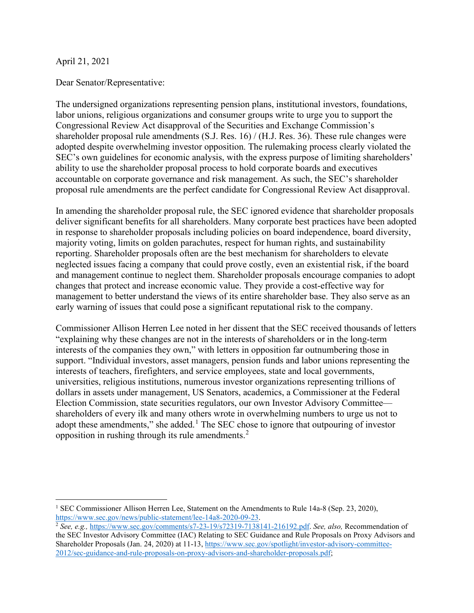### April 21, 2021

Dear Senator/Representative:

The undersigned organizations representing pension plans, institutional investors, foundations, labor unions, religious organizations and consumer groups write to urge you to support the Congressional Review Act disapproval of the Securities and Exchange Commission's shareholder proposal rule amendments (S.J. Res. 16) / (H.J. Res. 36). These rule changes were adopted despite overwhelming investor opposition. The rulemaking process clearly violated the SEC's own guidelines for economic analysis, with the express purpose of limiting shareholders' ability to use the shareholder proposal process to hold corporate boards and executives accountable on corporate governance and risk management. As such, the SEC's shareholder proposal rule amendments are the perfect candidate for Congressional Review Act disapproval.

In amending the shareholder proposal rule, the SEC ignored evidence that shareholder proposals deliver significant benefits for all shareholders. Many corporate best practices have been adopted in response to shareholder proposals including policies on board independence, board diversity, majority voting, limits on golden parachutes, respect for human rights, and sustainability reporting. Shareholder proposals often are the best mechanism for shareholders to elevate neglected issues facing a company that could prove costly, even an existential risk, if the board and management continue to neglect them. Shareholder proposals encourage companies to adopt changes that protect and increase economic value. They provide a cost-effective way for management to better understand the views of its entire shareholder base. They also serve as an early warning of issues that could pose a significant reputational risk to the company.

Commissioner Allison Herren Lee noted in her dissent that the SEC received thousands of letters "explaining why these changes are not in the interests of shareholders or in the long-term interests of the companies they own," with letters in opposition far outnumbering those in support. "Individual investors, asset managers, pension funds and labor unions representing the interests of teachers, firefighters, and service employees, state and local governments, universities, religious institutions, numerous investor organizations representing trillions of dollars in assets under management, US Senators, academics, a Commissioner at the Federal Election Commission, state securities regulators, our own Investor Advisory Committee shareholders of every ilk and many others wrote in overwhelming numbers to urge us not to adopt these amendments," she added.<sup>[1](#page-0-0)</sup> The SEC chose to ignore that outpouring of investor opposition in rushing through its rule amendments.[2](#page-0-1)

<span id="page-0-0"></span><sup>&</sup>lt;sup>1</sup> SEC Commissioner Allison Herren Lee, Statement on the Amendments to Rule 14a-8 (Sep. 23, 2020), [https://www.sec.gov/news/public-statement/lee-14a8-2020-09-23.](https://www.sec.gov/news/public-statement/lee-14a8-2020-09-23) 2 *See, e.g.,* [https://www.sec.gov/comments/s7-23-19/s72319-7138141-216192.pdf.](https://www.sec.gov/comments/s7-23-19/s72319-7138141-216192.pdf) *See, also,* Recommendation of

<span id="page-0-1"></span>the SEC Investor Advisory Committee (IAC) Relating to SEC Guidance and Rule Proposals on Proxy Advisors and Shareholder Proposals (Jan. 24, 2020) at 11-13[, https://www.sec.gov/spotlight/investor-advisory-committee-](https://www.sec.gov/spotlight/investor-advisory-committee-2012/sec-guidance-and-rule-proposals-on-proxy-advisors-and-shareholder-proposals.pdf)[2012/sec-guidance-and-rule-proposals-on-proxy-advisors-and-shareholder-proposals.pdf;](https://www.sec.gov/spotlight/investor-advisory-committee-2012/sec-guidance-and-rule-proposals-on-proxy-advisors-and-shareholder-proposals.pdf)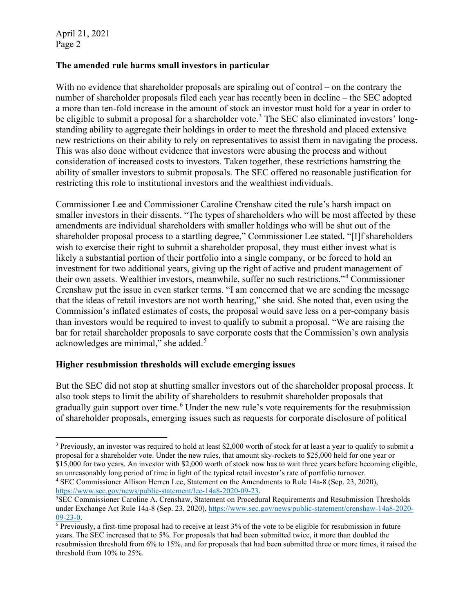### **The amended rule harms small investors in particular**

With no evidence that shareholder proposals are spiraling out of control – on the contrary the number of shareholder proposals filed each year has recently been in decline – the SEC adopted a more than ten-fold increase in the amount of stock an investor must hold for a year in order to be eligible to submit a proposal for a shareholder vote.<sup>[3](#page-1-0)</sup> The SEC also eliminated investors' longstanding ability to aggregate their holdings in order to meet the threshold and placed extensive new restrictions on their ability to rely on representatives to assist them in navigating the process. This was also done without evidence that investors were abusing the process and without consideration of increased costs to investors. Taken together, these restrictions hamstring the ability of smaller investors to submit proposals. The SEC offered no reasonable justification for restricting this role to institutional investors and the wealthiest individuals.

Commissioner Lee and Commissioner Caroline Crenshaw cited the rule's harsh impact on smaller investors in their dissents. "The types of shareholders who will be most affected by these amendments are individual shareholders with smaller holdings who will be shut out of the shareholder proposal process to a startling degree," Commissioner Lee stated. "[I]f shareholders wish to exercise their right to submit a shareholder proposal, they must either invest what is likely a substantial portion of their portfolio into a single company, or be forced to hold an investment for two additional years, giving up the right of active and prudent management of their own assets. Wealthier investors, meanwhile, suffer no such restrictions."[4](#page-1-1) Commissioner Crenshaw put the issue in even starker terms. "I am concerned that we are sending the message that the ideas of retail investors are not worth hearing," she said. She noted that, even using the Commission's inflated estimates of costs, the proposal would save less on a per-company basis than investors would be required to invest to qualify to submit a proposal. "We are raising the bar for retail shareholder proposals to save corporate costs that the Commission's own analysis acknowledges are minimal," she added.[5](#page-1-2)

### **Higher resubmission thresholds will exclude emerging issues**

But the SEC did not stop at shutting smaller investors out of the shareholder proposal process. It also took steps to limit the ability of shareholders to resubmit shareholder proposals that gradually gain support over time.<sup>[6](#page-1-3)</sup> Under the new rule's vote requirements for the resubmission of shareholder proposals, emerging issues such as requests for corporate disclosure of political

<span id="page-1-1"></span>[https://www.sec.gov/news/public-statement/lee-14a8-2020-09-23.](https://www.sec.gov/news/public-statement/lee-14a8-2020-09-23) 5

<span id="page-1-0"></span><sup>3</sup> Previously, an investor was required to hold at least \$2,000 worth of stock for at least a year to qualify to submit a proposal for a shareholder vote. Under the new rules, that amount sky-rockets to \$25,000 held for one year or \$15,000 for two years. An investor with \$2,000 worth of stock now has to wait three years before becoming eligible, an unreasonably long period of time in light of the typical retail investor's rate of portfolio turnover. 4 SEC Commissioner Allison Herren Lee, Statement on the Amendments to Rule 14a-8 (Sep. 23, 2020),

<span id="page-1-2"></span>SEC Commissioner Caroline A. Crenshaw, Statement on Procedural Requirements and Resubmission Thresholds under Exchange Act Rule 14a-8 (Sep. 23, 2020)[, https://www.sec.gov/news/public-statement/crenshaw-14a8-2020-](https://www.sec.gov/news/public-statement/crenshaw-14a8-2020-09-23-0) [09-23-0.](https://www.sec.gov/news/public-statement/crenshaw-14a8-2020-09-23-0)

<span id="page-1-3"></span><sup>6</sup> Previously, a first-time proposal had to receive at least 3% of the vote to be eligible for resubmission in future years. The SEC increased that to 5%. For proposals that had been submitted twice, it more than doubled the resubmission threshold from 6% to 15%, and for proposals that had been submitted three or more times, it raised the threshold from 10% to 25%.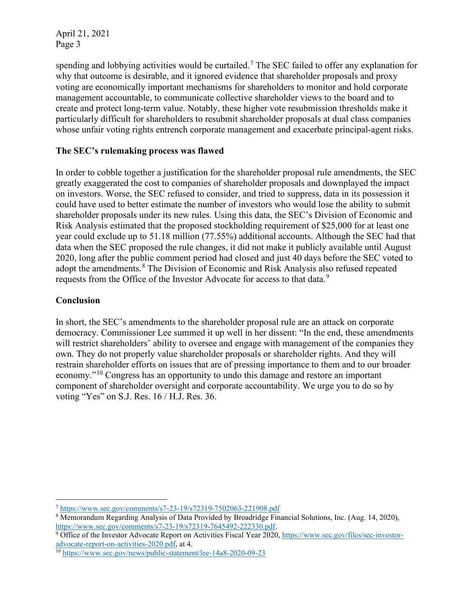spending and lobbying activities would be curtailed.<sup>[7](#page-2-0)</sup> The SEC failed to offer any explanation for why that outcome is desirable, and it ignored evidence that shareholder proposals and proxy voting are economically important mechanisms for shareholders to monitor and hold corporate management accountable, to communicate collective shareholder views to the board and to create and protect long-term value. Notably, these higher vote resubmission thresholds make it particularly difficult for shareholders to resubmit shareholder proposals at dual class companies whose unfair voting rights entrench corporate management and exacerbate principal-agent risks.

# **The SEC's rulemaking process was flawed**

In order to cobble together a justification for the shareholder proposal rule amendments, the SEC greatly exaggerated the cost to companies of shareholder proposals and downplayed the impact on investors. Worse, the SEC refused to consider, and tried to suppress, data in its possession it could have used to better estimate the number of investors who would lose the ability to submit shareholder proposals under its new rules. Using this data, the SEC's Division of Economic and Risk Analysis estimated that the proposed stockholding requirement of \$25,000 for at least one year could exclude up to 51.18 million (77.55%) additional accounts. Although the SEC had that data when the SEC proposed the rule changes, it did not make it publicly available until August 2020, long after the public comment period had closed and just 40 days before the SEC voted to adopt the amendments.<sup>[8](#page-2-1)</sup> The Division of Economic and Risk Analysis also refused repeated requests from the Office of the Investor Advocate for access to that data.<sup>[9](#page-2-2)</sup>

# **Conclusion**

In short, the SEC's amendments to the shareholder proposal rule are an attack on corporate democracy. Commissioner Lee summed it up well in her dissent: "In the end, these amendments will restrict shareholders' ability to oversee and engage with management of the companies they own. They do not properly value shareholder proposals or shareholder rights. And they will restrain shareholder efforts on issues that are of pressing importance to them and to our broader economy."[10](#page-2-3) Congress has an opportunity to undo this damage and restore an important component of shareholder oversight and corporate accountability. We urge you to do so by voting "Yes" on S.J. Res. 16 / H.J. Res. 36.

<span id="page-2-0"></span><sup>7</sup> <https://www.sec.gov/comments/s7-23-19/s72319-7502063-221908.pdf>

<span id="page-2-1"></span><sup>&</sup>lt;sup>8</sup> Memorandum Regarding Analysis of Data Provided by Broadridge Financial Solutions, Inc. (Aug. 14, 2020), https://www.sec.gov/comments/s7-23-19/s72319-7645492-222330.pdf.

<span id="page-2-2"></span> $\frac{9}{9}$  Office of the Investor Advocate Report on Activities Fiscal Year 2020[, https://www.sec.gov/files/sec-investor](https://www.sec.gov/files/sec-investor-advocate-report-on-activities-2020.pdf)[advocate-report-on-activities-2020.pdf,](https://www.sec.gov/files/sec-investor-advocate-report-on-activities-2020.pdf) at 4.

<span id="page-2-3"></span><sup>10</sup> <https://www.sec.gov/news/public-statement/lee-14a8-2020-09-23>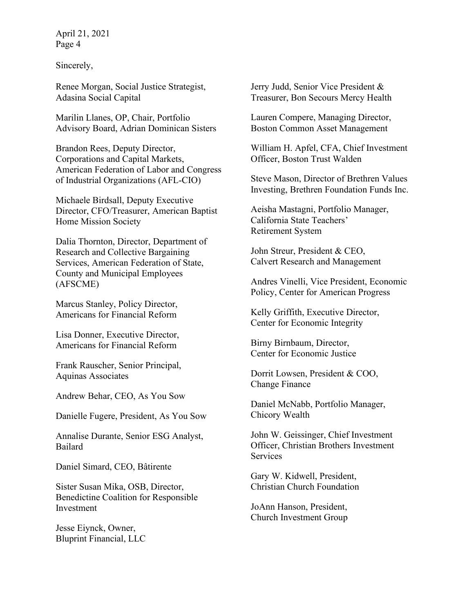Sincerely,

Renee Morgan, Social Justice Strategist, Adasina Social Capital

Marilin Llanes, OP, Chair, Portfolio Advisory Board, Adrian Dominican Sisters

Brandon Rees, Deputy Director, Corporations and Capital Markets, American Federation of Labor and Congress of Industrial Organizations (AFL-CIO)

Michaele Birdsall, Deputy Executive Director, CFO/Treasurer, American Baptist Home Mission Society

Dalia Thornton, Director, Department of Research and Collective Bargaining Services, American Federation of State, County and Municipal Employees (AFSCME)

Marcus Stanley, Policy Director, Americans for Financial Reform

Lisa Donner, Executive Director, Americans for Financial Reform

Frank Rauscher, Senior Principal, Aquinas Associates

Andrew Behar, CEO, As You Sow

Danielle Fugere, President, As You Sow

Annalise Durante, Senior ESG Analyst, Bailard

Daniel Simard, CEO, Bâtirente

Sister Susan Mika, OSB, Director, Benedictine Coalition for Responsible Investment

Jesse Eiynck, Owner, Bluprint Financial, LLC Jerry Judd, Senior Vice President & Treasurer, Bon Secours Mercy Health

Lauren Compere, Managing Director, Boston Common Asset Management

William H. Apfel, CFA, Chief Investment Officer, Boston Trust Walden

Steve Mason, Director of Brethren Values Investing, Brethren Foundation Funds Inc.

Aeisha Mastagni, Portfolio Manager, California State Teachers' Retirement System

John Streur, President & CEO, Calvert Research and Management

Andres Vinelli, Vice President, Economic Policy, Center for American Progress

Kelly Griffith, Executive Director, Center for Economic Integrity

Birny Birnbaum, Director, Center for Economic Justice

Dorrit Lowsen, President & COO, Change Finance

Daniel McNabb, Portfolio Manager, Chicory Wealth

John W. Geissinger, Chief Investment Officer, Christian Brothers Investment **Services** 

Gary W. Kidwell, President, Christian Church Foundation

JoAnn Hanson, President, Church Investment Group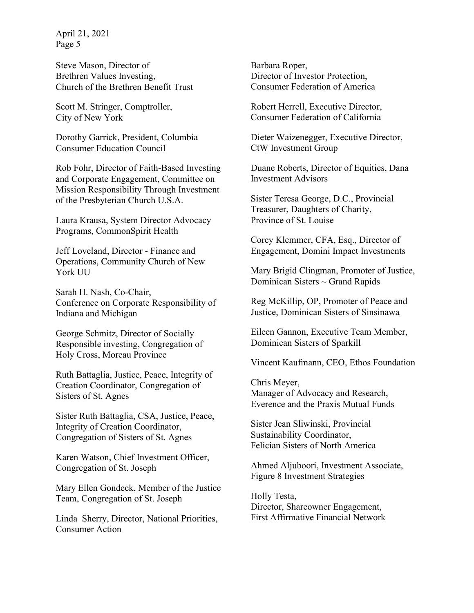Steve Mason, Director of Brethren Values Investing, Church of the Brethren Benefit Trust

Scott M. Stringer, Comptroller, City of New York

Dorothy Garrick, President, Columbia Consumer Education Council

Rob Fohr, Director of Faith-Based Investing and Corporate Engagement, Committee on Mission Responsibility Through Investment of the Presbyterian Church U.S.A.

Laura Krausa, System Director Advocacy Programs, CommonSpirit Health

Jeff Loveland, Director - Finance and Operations, Community Church of New York UU

Sarah H. Nash, Co-Chair, Conference on Corporate Responsibility of Indiana and Michigan

George Schmitz, Director of Socially Responsible investing, Congregation of Holy Cross, Moreau Province

Ruth Battaglia, Justice, Peace, Integrity of Creation Coordinator, Congregation of Sisters of St. Agnes

Sister Ruth Battaglia, CSA, Justice, Peace, Integrity of Creation Coordinator, Congregation of Sisters of St. Agnes

Karen Watson, Chief Investment Officer, Congregation of St. Joseph

Mary Ellen Gondeck, Member of the Justice Team, Congregation of St. Joseph

Linda Sherry, Director, National Priorities, Consumer Action

Barbara Roper, Director of Investor Protection, Consumer Federation of America

Robert Herrell, Executive Director, Consumer Federation of California

Dieter Waizenegger, Executive Director, CtW Investment Group

Duane Roberts, Director of Equities, Dana Investment Advisors

Sister Teresa George, D.C., Provincial Treasurer, Daughters of Charity, Province of St. Louise

Corey Klemmer, CFA, Esq., Director of Engagement, Domini Impact Investments

Mary Brigid Clingman, Promoter of Justice, Dominican Sisters ~ Grand Rapids

Reg McKillip, OP, Promoter of Peace and Justice, Dominican Sisters of Sinsinawa

Eileen Gannon, Executive Team Member, Dominican Sisters of Sparkill

Vincent Kaufmann, CEO, Ethos Foundation

Chris Meyer, Manager of Advocacy and Research, Everence and the Praxis Mutual Funds

Sister Jean Sliwinski, Provincial Sustainability Coordinator, Felician Sisters of North America

Ahmed Aljuboori, Investment Associate, Figure 8 Investment Strategies

Holly Testa, Director, Shareowner Engagement, First Affirmative Financial Network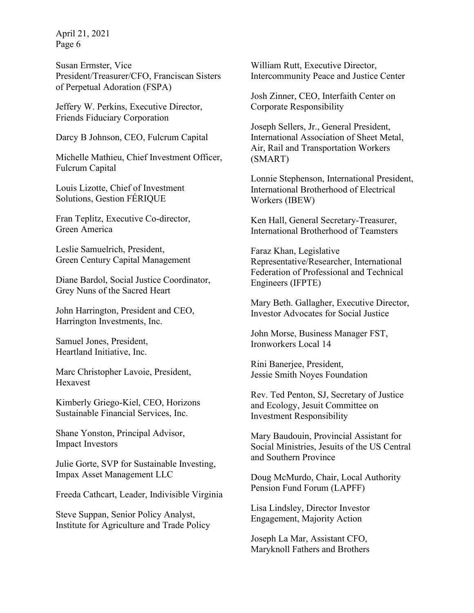Susan Ermster, Vice President/Treasurer/CFO, Franciscan Sisters of Perpetual Adoration (FSPA)

Jeffery W. Perkins, Executive Director, Friends Fiduciary Corporation

Darcy B Johnson, CEO, Fulcrum Capital

Michelle Mathieu, Chief Investment Officer, Fulcrum Capital

Louis Lizotte, Chief of Investment Solutions, Gestion FÉRIQUE

Fran Teplitz, Executive Co-director, Green America

Leslie Samuelrich, President, Green Century Capital Management

Diane Bardol, Social Justice Coordinator, Grey Nuns of the Sacred Heart

John Harrington, President and CEO, Harrington Investments, Inc.

Samuel Jones, President, Heartland Initiative, Inc.

Marc Christopher Lavoie, President, Hexavest

Kimberly Griego-Kiel, CEO, Horizons Sustainable Financial Services, Inc.

Shane Yonston, Principal Advisor, Impact Investors

Julie Gorte, SVP for Sustainable Investing, Impax Asset Management LLC

Freeda Cathcart, Leader, Indivisible Virginia

Steve Suppan, Senior Policy Analyst, Institute for Agriculture and Trade Policy William Rutt, Executive Director, Intercommunity Peace and Justice Center

Josh Zinner, CEO, Interfaith Center on Corporate Responsibility

Joseph Sellers, Jr., General President, International Association of Sheet Metal, Air, Rail and Transportation Workers (SMART)

Lonnie Stephenson, International President, International Brotherhood of Electrical Workers (IBEW)

Ken Hall, General Secretary-Treasurer, International Brotherhood of Teamsters

Faraz Khan, Legislative Representative/Researcher, International Federation of Professional and Technical Engineers (IFPTE)

Mary Beth. Gallagher, Executive Director, Investor Advocates for Social Justice

John Morse, Business Manager FST, Ironworkers Local 14

Rini Banerjee, President, Jessie Smith Noyes Foundation

Rev. Ted Penton, SJ, Secretary of Justice and Ecology, Jesuit Committee on Investment Responsibility

Mary Baudouin, Provincial Assistant for Social Ministries, Jesuits of the US Central and Southern Province

Doug McMurdo, Chair, Local Authority Pension Fund Forum (LAPFF)

Lisa Lindsley, Director Investor Engagement, Majority Action

Joseph La Mar, Assistant CFO, Maryknoll Fathers and Brothers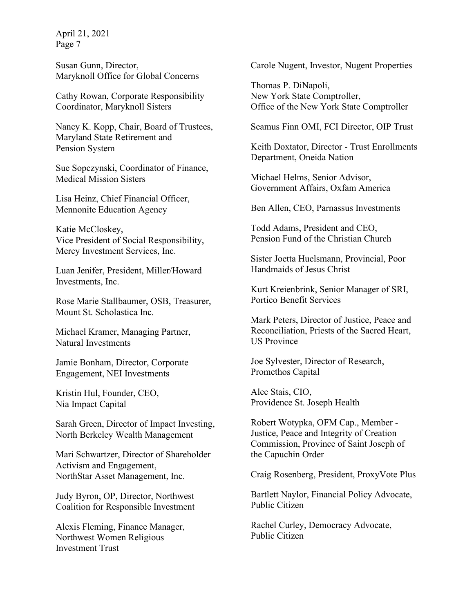Susan Gunn, Director, Maryknoll Office for Global Concerns

Cathy Rowan, Corporate Responsibility Coordinator, Maryknoll Sisters

Nancy K. Kopp, Chair, Board of Trustees, Maryland State Retirement and Pension System

Sue Sopczynski, Coordinator of Finance, Medical Mission Sisters

Lisa Heinz, Chief Financial Officer, Mennonite Education Agency

Katie McCloskey, Vice President of Social Responsibility, Mercy Investment Services, Inc.

Luan Jenifer, President, Miller/Howard Investments, Inc.

Rose Marie Stallbaumer, OSB, Treasurer, Mount St. Scholastica Inc.

Michael Kramer, Managing Partner, Natural Investments

Jamie Bonham, Director, Corporate Engagement, NEI Investments

Kristin Hul, Founder, CEO, Nia Impact Capital

Sarah Green, Director of Impact Investing, North Berkeley Wealth Management

Mari Schwartzer, Director of Shareholder Activism and Engagement, NorthStar Asset Management, Inc.

Judy Byron, OP, Director, Northwest Coalition for Responsible Investment

Alexis Fleming, Finance Manager, Northwest Women Religious Investment Trust

Carole Nugent, Investor, Nugent Properties

Thomas P. DiNapoli, New York State Comptroller, Office of the New York State Comptroller

Seamus Finn OMI, FCI Director, OIP Trust

Keith Doxtator, Director - Trust Enrollments Department, Oneida Nation

Michael Helms, Senior Advisor, Government Affairs, Oxfam America

Ben Allen, CEO, Parnassus Investments

Todd Adams, President and CEO, Pension Fund of the Christian Church

Sister Joetta Huelsmann, Provincial, Poor Handmaids of Jesus Christ

Kurt Kreienbrink, Senior Manager of SRI, Portico Benefit Services

Mark Peters, Director of Justice, Peace and Reconciliation, Priests of the Sacred Heart, US Province

Joe Sylvester, Director of Research, Promethos Capital

Alec Stais, CIO, Providence St. Joseph Health

Robert Wotypka, OFM Cap., Member - Justice, Peace and Integrity of Creation Commission, Province of Saint Joseph of the Capuchin Order

Craig Rosenberg, President, ProxyVote Plus

Bartlett Naylor, Financial Policy Advocate, Public Citizen

Rachel Curley, Democracy Advocate, Public Citizen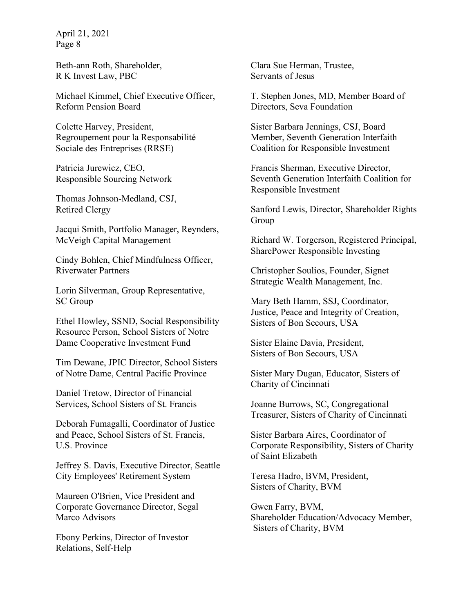Beth-ann Roth, Shareholder, R K Invest Law, PBC

Michael Kimmel, Chief Executive Officer, Reform Pension Board

Colette Harvey, President, Regroupement pour la Responsabilité Sociale des Entreprises (RRSE)

Patricia Jurewicz, CEO, Responsible Sourcing Network

Thomas Johnson-Medland, CSJ, Retired Clergy

Jacqui Smith, Portfolio Manager, Reynders, McVeigh Capital Management

Cindy Bohlen, Chief Mindfulness Officer, Riverwater Partners

Lorin Silverman, Group Representative, SC Group

Ethel Howley, SSND, Social Responsibility Resource Person, School Sisters of Notre Dame Cooperative Investment Fund

Tim Dewane, JPIC Director, School Sisters of Notre Dame, Central Pacific Province

Daniel Tretow, Director of Financial Services, School Sisters of St. Francis

Deborah Fumagalli, Coordinator of Justice and Peace, School Sisters of St. Francis, U.S. Province

Jeffrey S. Davis, Executive Director, Seattle City Employees' Retirement System

Maureen O'Brien, Vice President and Corporate Governance Director, Segal Marco Advisors

Ebony Perkins, Director of Investor Relations, Self-Help

Clara Sue Herman, Trustee, Servants of Jesus

T. Stephen Jones, MD, Member Board of Directors, Seva Foundation

Sister Barbara Jennings, CSJ, Board Member, Seventh Generation Interfaith Coalition for Responsible Investment

Francis Sherman, Executive Director, Seventh Generation Interfaith Coalition for Responsible Investment

Sanford Lewis, Director, Shareholder Rights Group

Richard W. Torgerson, Registered Principal, SharePower Responsible Investing

Christopher Soulios, Founder, Signet Strategic Wealth Management, Inc.

Mary Beth Hamm, SSJ, Coordinator, Justice, Peace and Integrity of Creation, Sisters of Bon Secours, USA

Sister Elaine Davia, President, Sisters of Bon Secours, USA

Sister Mary Dugan, Educator, Sisters of Charity of Cincinnati

Joanne Burrows, SC, Congregational Treasurer, Sisters of Charity of Cincinnati

Sister Barbara Aires, Coordinator of Corporate Responsibility, Sisters of Charity of Saint Elizabeth

Teresa Hadro, BVM, President, Sisters of Charity, BVM

Gwen Farry, BVM, Shareholder Education/Advocacy Member, Sisters of Charity, BVM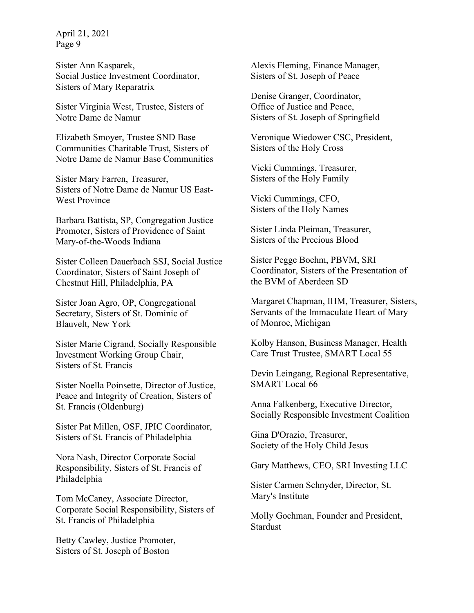Sister Ann Kasparek, Social Justice Investment Coordinator, Sisters of Mary Reparatrix

Sister Virginia West, Trustee, Sisters of Notre Dame de Namur

Elizabeth Smoyer, Trustee SND Base Communities Charitable Trust, Sisters of Notre Dame de Namur Base Communities

Sister Mary Farren, Treasurer, Sisters of Notre Dame de Namur US East-West Province

Barbara Battista, SP, Congregation Justice Promoter, Sisters of Providence of Saint Mary-of-the-Woods Indiana

Sister Colleen Dauerbach SSJ, Social Justice Coordinator, Sisters of Saint Joseph of Chestnut Hill, Philadelphia, PA

Sister Joan Agro, OP, Congregational Secretary, Sisters of St. Dominic of Blauvelt, New York

Sister Marie Cigrand, Socially Responsible Investment Working Group Chair, Sisters of St. Francis

Sister Noella Poinsette, Director of Justice, Peace and Integrity of Creation, Sisters of St. Francis (Oldenburg)

Sister Pat Millen, OSF, JPIC Coordinator, Sisters of St. Francis of Philadelphia

Nora Nash, Director Corporate Social Responsibility, Sisters of St. Francis of Philadelphia

Tom McCaney, Associate Director, Corporate Social Responsibility, Sisters of St. Francis of Philadelphia

Betty Cawley, Justice Promoter, Sisters of St. Joseph of Boston

Alexis Fleming, Finance Manager, Sisters of St. Joseph of Peace

Denise Granger, Coordinator, Office of Justice and Peace, Sisters of St. Joseph of Springfield

Veronique Wiedower CSC, President, Sisters of the Holy Cross

Vicki Cummings, Treasurer, Sisters of the Holy Family

Vicki Cummings, CFO, Sisters of the Holy Names

Sister Linda Pleiman, Treasurer, Sisters of the Precious Blood

Sister Pegge Boehm, PBVM, SRI Coordinator, Sisters of the Presentation of the BVM of Aberdeen SD

Margaret Chapman, IHM, Treasurer, Sisters, Servants of the Immaculate Heart of Mary of Monroe, Michigan

Kolby Hanson, Business Manager, Health Care Trust Trustee, SMART Local 55

Devin Leingang, Regional Representative, SMART Local 66

Anna Falkenberg, Executive Director, Socially Responsible Investment Coalition

Gina D'Orazio, Treasurer, Society of the Holy Child Jesus

Gary Matthews, CEO, SRI Investing LLC

Sister Carmen Schnyder, Director, St. Mary's Institute

Molly Gochman, Founder and President, **Stardust**